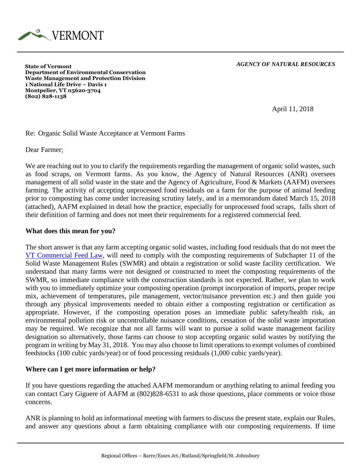

*AGENCY OF NATURAL RESOURCES*

**State of Vermont Department of Environmental Conservation Waste Management and Protection Division 1 National Life Drive – Davis 1 Montpelier, VT 05620-3704 (802) 828-1138**

April 11, 2018

## Re: Organic Solid Waste Acceptance at Vermont Farms

Dear Farmer;

We are reaching out to you to clarify the requirements regarding the management of organic solid wastes, such as food scraps, on Vermont farms. As you know, the Agency of Natural Resources (ANR) oversees management of all solid waste in the state and the Agency of Agriculture, Food & Markets (AAFM) oversees farming. The activity of accepting unprocessed food residuals on a farm for the purpose of animal feeding prior to composting has come under increasing scrutiny lately, and in a memorandum dated March 15, 2018 (attached), AAFM explained in detail how the practice, especially for unprocessed food scraps, falls short of their definition of farming and does not meet their requirements for a registered commercial feed.

## **What does this mean for you?**

The short answer is that any farm accepting organic solid wastes, including food residuals that do not meet the [VT Commercial Feed Law,](http://agriculture.vermont.gov/sites/ag/files/PDF/Matts_Files/VERMONT%20COMMERCIAL%20FEED%20LAW%20OF%201986.pdf) will need to comply with the composting requirements of Subchapter 11 of the Solid Waste Management Rules (SWMR) and obtain a registration or solid waste facility certification. We understand that many farms were not designed or constructed to meet the composting requirements of the SWMR, so immediate compliance with the construction standards is not expected. Rather, we plan to work with you to immediately optimize your composting operation (prompt incorporation of imports, proper recipe mix, achievement of temperatures, pile management, vector/nuisance prevention etc.) and then guide you through any physical improvements needed to obtain either a composting registration or certification as appropriate. However, if the composting operation poses an immediate public safety/health risk, an environmental pollution risk or uncontrollable nuisance conditions, cessation of the solid waste importation may be required. We recognize that not all farms will want to pursue a solid waste management facility designation so alternatively, those farms can choose to stop accepting organic solid wastes by notifying the program in writing by May 31, 2018. You may also choose to limit operations to exempt volumes of combined feedstocks (100 cubic yards/year) or of food processing residuals (1,000 cubic yards/year).

## **Where can I get more information or help?**

If you have questions regarding the attached AAFM memorandum or anything relating to animal feeding you can contact Cary Giguere of AAFM at (802)828-6531 to ask those questions, place comments or voice those concerns.

ANR is planning to hold an informational meeting with farmers to discuss the present state, explain our Rules, and answer any questions about a farm obtaining compliance with our composting requirements. If time